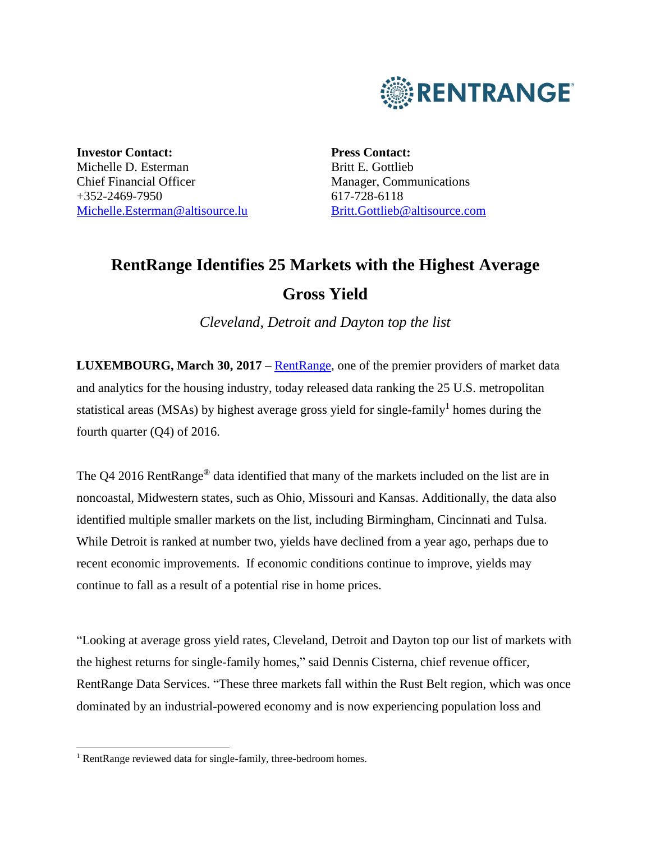

**Investor Contact:** Michelle D. Esterman Chief Financial Officer +352-2469-7950 [Michelle.Esterman@altisource.lu](mailto:Michelle.Esterman@altisource.lu) **Press Contact:** Britt E. Gottlieb Manager, Communications 617-728-6118 [Britt.Gottlieb@altisource.com](mailto:Nicole.Messier@altisource.com)

# **RentRange Identifies 25 Markets with the Highest Average Gross Yield**

*Cleveland, Detroit and Dayton top the list*

**LUXEMBOURG, March 30, 2017** – [RentRange,](https://www.rentrange.com/home/?utm_campaign=RRyielddataQ42016&utm_source=PR&utm_medium=PR&utm_content=lead_link) one of the premier providers of market data and analytics for the housing industry, today released data ranking the 25 U.S. metropolitan statistical areas (MSAs) by highest average gross yield for single-family<sup>1</sup> homes during the fourth quarter (Q4) of 2016.

The Q4 2016 RentRange<sup>®</sup> data identified that many of the markets included on the list are in noncoastal, Midwestern states, such as Ohio, Missouri and Kansas. Additionally, the data also identified multiple smaller markets on the list, including Birmingham, Cincinnati and Tulsa. While Detroit is ranked at number two, yields have declined from a year ago, perhaps due to recent economic improvements. If economic conditions continue to improve, yields may continue to fall as a result of a potential rise in home prices.

"Looking at average gross yield rates, Cleveland, Detroit and Dayton top our list of markets with the highest returns for single-family homes," said Dennis Cisterna, chief revenue officer, RentRange Data Services. "These three markets fall within the Rust Belt region, which was once dominated by an industrial-powered economy and is now experiencing population loss and

 $\overline{\phantom{a}}$ 

<sup>&</sup>lt;sup>1</sup> RentRange reviewed data for single-family, three-bedroom homes.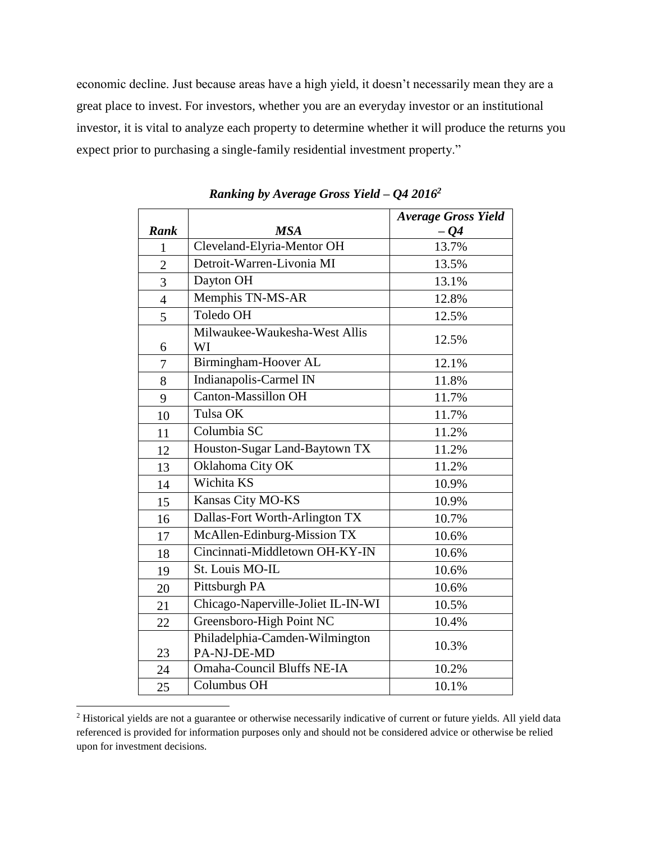economic decline. Just because areas have a high yield, it doesn't necessarily mean they are a great place to invest. For investors, whether you are an everyday investor or an institutional investor, it is vital to analyze each property to determine whether it will produce the returns you expect prior to purchasing a single-family residential investment property."

|                |                                               | <b>Average Gross Yield</b> |
|----------------|-----------------------------------------------|----------------------------|
| Rank           | <b>MSA</b>                                    | $-04$                      |
| $\mathbf{1}$   | Cleveland-Elyria-Mentor OH                    | 13.7%                      |
| $\overline{2}$ | Detroit-Warren-Livonia MI                     | 13.5%                      |
| 3              | Dayton OH                                     | 13.1%                      |
| $\overline{4}$ | Memphis TN-MS-AR                              | 12.8%                      |
| $\overline{5}$ | Toledo OH                                     | 12.5%                      |
| 6              | Milwaukee-Waukesha-West Allis<br>WI           | 12.5%                      |
| 7              | Birmingham-Hoover AL                          | 12.1%                      |
| 8              | Indianapolis-Carmel IN                        | 11.8%                      |
| 9              | <b>Canton-Massillon OH</b>                    | 11.7%                      |
| 10             | Tulsa OK                                      | 11.7%                      |
| 11             | Columbia SC                                   | 11.2%                      |
| 12             | Houston-Sugar Land-Baytown TX                 | 11.2%                      |
| 13             | Oklahoma City OK                              | 11.2%                      |
| 14             | Wichita KS                                    | 10.9%                      |
| 15             | Kansas City MO-KS                             | 10.9%                      |
| 16             | Dallas-Fort Worth-Arlington TX                | 10.7%                      |
| 17             | McAllen-Edinburg-Mission TX                   | 10.6%                      |
| 18             | Cincinnati-Middletown OH-KY-IN                | 10.6%                      |
| 19             | St. Louis MO-IL                               | 10.6%                      |
| 20             | Pittsburgh PA                                 | 10.6%                      |
| 21             | Chicago-Naperville-Joliet IL-IN-WI            | 10.5%                      |
| 22             | Greensboro-High Point NC                      | 10.4%                      |
| 23             | Philadelphia-Camden-Wilmington<br>PA-NJ-DE-MD | 10.3%                      |
| 24             | <b>Omaha-Council Bluffs NE-IA</b>             | 10.2%                      |
| 25             | Columbus OH                                   | 10.1%                      |

*Ranking by Average Gross Yield – Q4 2016<sup>2</sup>*

l

<sup>&</sup>lt;sup>2</sup> Historical yields are not a guarantee or otherwise necessarily indicative of current or future yields. All yield data referenced is provided for information purposes only and should not be considered advice or otherwise be relied upon for investment decisions.